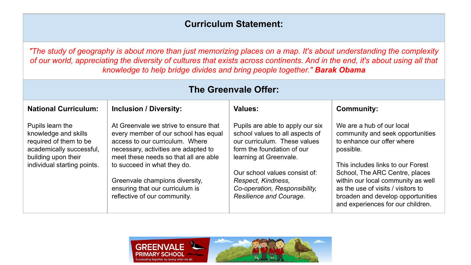## **Curriculum Statement:**

*"The study of geography is about more than just memorizing places on a map. It's about understanding the complexity of our world, appreciating the diversity of cultures that exists across continents. And in the end, it's about using all that knowledge to help bridge divides and bring people together." Barak Obama*

| <b>The Greenvale Offer:</b>                                                                                                                          |                                                                                                                                                                                                                                                                                                                                       |                                                                                                                                                                                                                                                                                |                                                                                                                                                                                                                                                                                                                                       |  |
|------------------------------------------------------------------------------------------------------------------------------------------------------|---------------------------------------------------------------------------------------------------------------------------------------------------------------------------------------------------------------------------------------------------------------------------------------------------------------------------------------|--------------------------------------------------------------------------------------------------------------------------------------------------------------------------------------------------------------------------------------------------------------------------------|---------------------------------------------------------------------------------------------------------------------------------------------------------------------------------------------------------------------------------------------------------------------------------------------------------------------------------------|--|
| <b>National Curriculum:</b>                                                                                                                          | <b>Inclusion / Diversity:</b>                                                                                                                                                                                                                                                                                                         | Values:                                                                                                                                                                                                                                                                        | <b>Community:</b>                                                                                                                                                                                                                                                                                                                     |  |
| Pupils learn the<br>knowledge and skills<br>required of them to be<br>academically successful,<br>building upon their<br>individual starting points. | At Greenvale we strive to ensure that<br>every member of our school has equal<br>access to our curriculum. Where<br>necessary, activities are adapted to<br>meet these needs so that all are able<br>to succeed in what they do.<br>Greenvale champions diversity,<br>ensuring that our curriculum is<br>reflective of our community. | Pupils are able to apply our six<br>school values to all aspects of<br>our curriculum. These values<br>form the foundation of our<br>learning at Greenvale.<br>Our school values consist of:<br>Respect, Kindness,<br>Co-operation, Responsibility,<br>Resilience and Courage. | We are a hub of our local<br>community and seek opportunities<br>to enhance our offer where<br>possible.<br>This includes links to our Forest<br>School, The ARC Centre, places<br>within our local community as well<br>as the use of visits / visitors to<br>broaden and develop opportunities<br>and experiences for our children. |  |